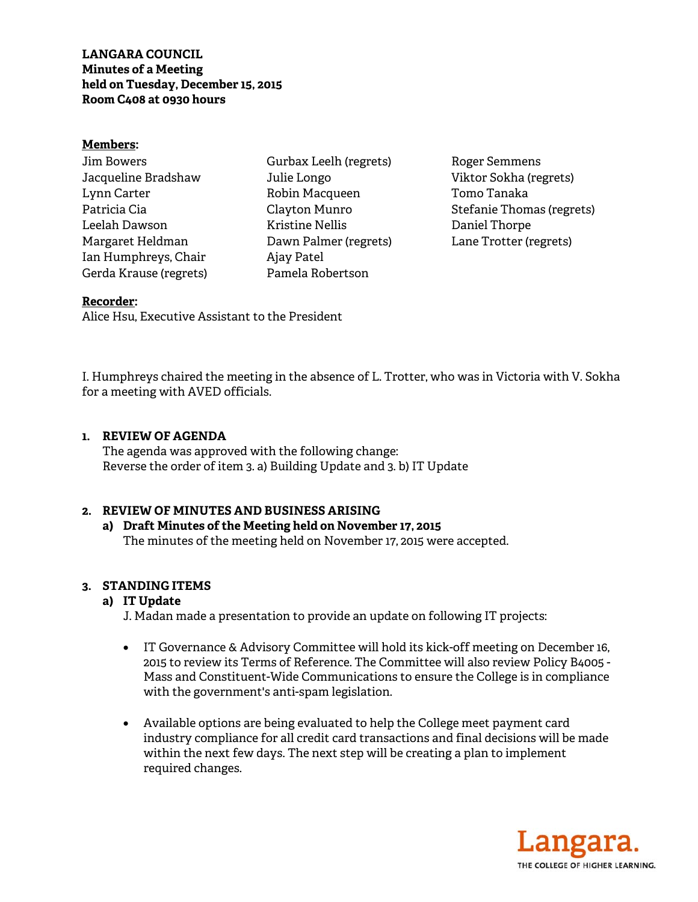**LANGARA COUNCIL Minutes of a Meeting held on Tuesday, December 15, 2015 Room C408 at 0930 hours** 

#### **Members:**

| Jim Bowers             |
|------------------------|
| Jacqueline Bradshaw    |
| Lynn Carter            |
| Patricia Cia           |
| Leelah Dawson          |
| Margaret Heldman       |
| Ian Humphreys, Chair   |
| Gerda Krause (regrets) |

Gurbax Leelh (regrets) Julie Longo Robin Macqueen Clayton Munro Kristine Nellis Dawn Palmer (regrets) Ajay Patel Pamela Robertson

Roger Semmens Viktor Sokha (regrets) Tomo Tanaka Stefanie Thomas (regrets) Daniel Thorpe Lane Trotter (regrets)

## **Recorder:**

Alice Hsu, Executive Assistant to the President

I. Humphreys chaired the meeting in the absence of L. Trotter, who was in Victoria with V. Sokha for a meeting with AVED officials.

#### **1. REVIEW OF AGENDA**

 The agenda was approved with the following change: Reverse the order of item 3. a) Building Update and 3. b) IT Update

#### **2. REVIEW OF MINUTES AND BUSINESS ARISING**

### **a) Draft Minutes of the Meeting held on November 17, 2015**  The minutes of the meeting held on November 17, 2015 were accepted.

#### **3. STANDING ITEMS**

### **a) IT Update**

J. Madan made a presentation to provide an update on following IT projects:

- IT Governance & Advisory Committee will hold its kick-off meeting on December 16, 2015 to review its Terms of Reference. The Committee will also review Policy B4005 - Mass and Constituent-Wide Communications to ensure the College is in compliance with the government's anti-spam legislation.
- Available options are being evaluated to help the College meet payment card industry compliance for all credit card transactions and final decisions will be made within the next few days. The next step will be creating a plan to implement required changes.

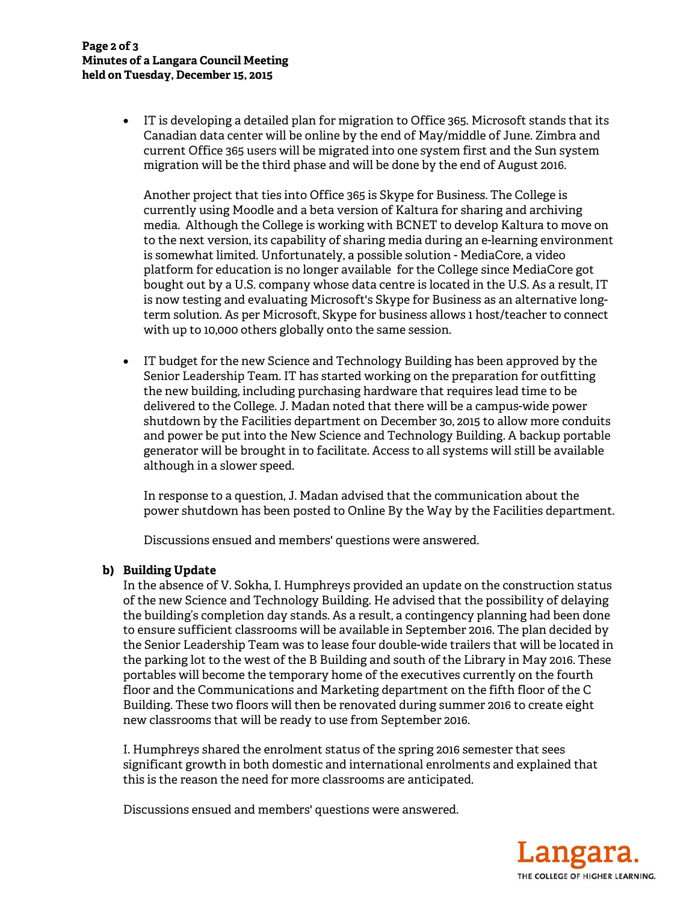• IT is developing a detailed plan for migration to Office 365. Microsoft stands that its Canadian data center will be online by the end of May/middle of June. Zimbra and current Office 365 users will be migrated into one system first and the Sun system migration will be the third phase and will be done by the end of August 2016.

Another project that ties into Office 365 is Skype for Business. The College is currently using Moodle and a beta version of Kaltura for sharing and archiving media. Although the College is working with BCNET to develop Kaltura to move on to the next version, its capability of sharing media during an e-learning environment is somewhat limited. Unfortunately, a possible solution - MediaCore, a video platform for education is no longer available for the College since MediaCore got bought out by a U.S. company whose data centre is located in the U.S. As a result, IT is now testing and evaluating Microsoft's Skype for Business as an alternative longterm solution. As per Microsoft, Skype for business allows 1 host/teacher to connect with up to 10,000 others globally onto the same session.

• IT budget for the new Science and Technology Building has been approved by the Senior Leadership Team. IT has started working on the preparation for outfitting the new building, including purchasing hardware that requires lead time to be delivered to the College. J. Madan noted that there will be a campus-wide power shutdown by the Facilities department on December 3o, 2015 to allow more conduits and power be put into the New Science and Technology Building. A backup portable generator will be brought in to facilitate. Access to all systems will still be available although in a slower speed.

In response to a question, J. Madan advised that the communication about the power shutdown has been posted to Online By the Way by the Facilities department.

Discussions ensued and members' questions were answered.

# **b) Building Update**

In the absence of V. Sokha, I. Humphreys provided an update on the construction status of the new Science and Technology Building. He advised that the possibility of delaying the building's completion day stands. As a result, a contingency planning had been done to ensure sufficient classrooms will be available in September 2016. The plan decided by the Senior Leadership Team was to lease four double-wide trailers that will be located in the parking lot to the west of the B Building and south of the Library in May 2016. These portables will become the temporary home of the executives currently on the fourth floor and the Communications and Marketing department on the fifth floor of the C Building. These two floors will then be renovated during summer 2016 to create eight new classrooms that will be ready to use from September 2016.

I. Humphreys shared the enrolment status of the spring 2016 semester that sees significant growth in both domestic and international enrolments and explained that this is the reason the need for more classrooms are anticipated.

Discussions ensued and members' questions were answered.